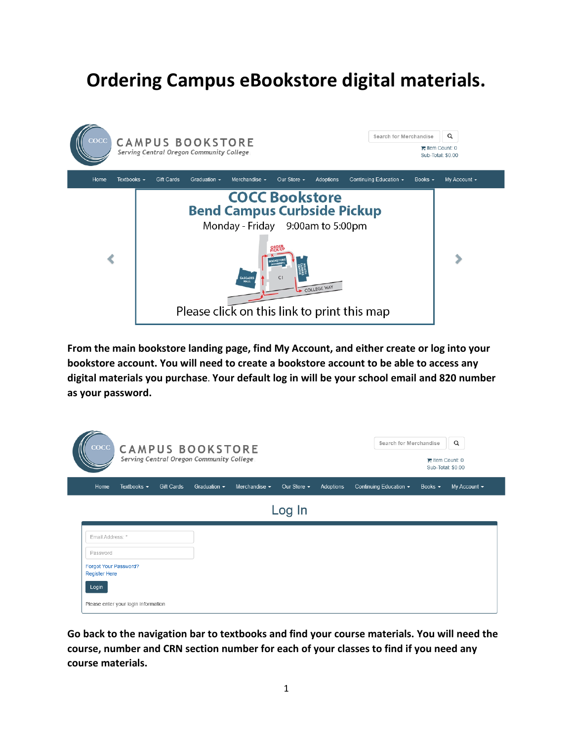# **Ordering Campus eBookstore digital materials.**



**From the main bookstore landing page, find My Account, and either create or log into your bookstore account. You will need to create a bookstore account to be able to access any digital materials you purchase**. **Your default log in will be your school email and 820 number as your password.**

| $\csc$                                        |                                     |            | <b>CAMPUS BOOKSTORE</b><br>Serving Central Oregon Community College |                    |                  |           | Search for Merchandise                        | $\equiv$ Item Count: 0<br>Sub-Total: \$0.00 | $\alpha$          |
|-----------------------------------------------|-------------------------------------|------------|---------------------------------------------------------------------|--------------------|------------------|-----------|-----------------------------------------------|---------------------------------------------|-------------------|
| Home                                          | Textbooks $\sim$                    | Gift Cards | Graduation $\sim$                                                   | Merchandise $\sim$ | Our Store $\sim$ | Adoptions | Continuing Education $\overline{\phantom{a}}$ | Books $\sim$                                | My Account $\sim$ |
|                                               |                                     |            |                                                                     |                    | Log In           |           |                                               |                                             |                   |
| Email Address: *                              |                                     |            |                                                                     |                    |                  |           |                                               |                                             |                   |
| Password                                      |                                     |            |                                                                     |                    |                  |           |                                               |                                             |                   |
| Forgot Your Password?<br><b>Register Here</b> |                                     |            |                                                                     |                    |                  |           |                                               |                                             |                   |
| Login                                         |                                     |            |                                                                     |                    |                  |           |                                               |                                             |                   |
|                                               | Please enter your login information |            |                                                                     |                    |                  |           |                                               |                                             |                   |

**Go back to the navigation bar to textbooks and find your course materials. You will need the course, number and CRN section number for each of your classes to find if you need any course materials.**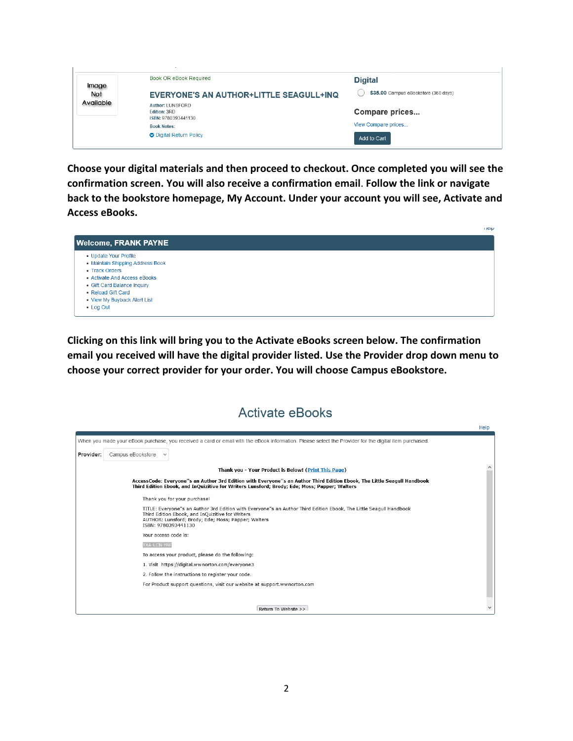| Image     | Book OR eBook Required                                         | <b>Digital</b>                       |
|-----------|----------------------------------------------------------------|--------------------------------------|
| Not       | <b>EVERYONE'S AN AUTHOR+LITTLE SEAGULL+INQ</b>                 | \$35,00 Campus eBookstore (360 days) |
| Available | Author: LUNSFORD<br><b>Edition: 3RD</b><br>ISBN: 9780393441130 | Compare prices                       |
|           | <b>Book Notes:</b>                                             | View Compare prices                  |
|           | <b>O</b> Digital Return Policy                                 | Add to Cart                          |

**Choose your digital materials and then proceed to checkout. Once completed you will see the confirmation screen. You will also receive a confirmation email**. **Follow the link or navigate back to the bookstore homepage, My Account. Under your account you will see, Activate and Access eBooks.**

|                                  | <b>TIGIP</b> |
|----------------------------------|--------------|
| <b>Welcome, FRANK PAYNE</b>      |              |
| • Update Your Profile            |              |
| • Maintain Shipping Address Book |              |
| • Track Orders                   |              |
| • Activate And Access eBooks     |              |
| • Gift Card Balance Inquiry      |              |
| • Reload Gift Card               |              |
| • View My Buyback Alert List     |              |
| • Log Out                        |              |

**Clicking on this link will bring you to the Activate eBooks screen below. The confirmation email you received will have the digital provider listed. Use the Provider drop down menu to choose your correct provider for your order. You will choose Campus eBookstore.**

### **Activate eBooks**

|           |                                                                                                                                                                                                                                                      | Help |
|-----------|------------------------------------------------------------------------------------------------------------------------------------------------------------------------------------------------------------------------------------------------------|------|
|           | When you made your eBook purchase, you received a card or email with the eBook information. Please select the Provider for the digital item purchased.                                                                                               |      |
| Provider: | Campus eBookstore<br>$\checkmark$                                                                                                                                                                                                                    |      |
|           | Thank you - Your Product is Below! (Print This Page)                                                                                                                                                                                                 |      |
|           | AccessCode: Everyone"s an Author 3rd Edition with Everyone"s an Author Third Edition Ebook, The Little Seagull Handbook<br>Third Edition Ebook, and InOuizitive for Writers Lunsford: Brody: Ede: Moss: Papper: Walters                              |      |
|           | Thank you for your purchase!                                                                                                                                                                                                                         |      |
|           | TITLE: Everyone"s an Author 3rd Edition with Everyone"s an Author Third Edition Ebook, The Little Seagull Handbook<br>Third Edition Ebook, and InQuizitive for Writers<br>AUTHOR: Lunsford: Brody: Ede: Moss: Papper: Walters<br>ISBN: 9780393441130 |      |
|           | Your access code is:                                                                                                                                                                                                                                 |      |
|           | <b>TXA-LCN-YRF</b>                                                                                                                                                                                                                                   |      |
|           | To access your product, please do the following:                                                                                                                                                                                                     |      |
|           | 1. Visit https://digital.wwnorton.com/everyone3                                                                                                                                                                                                      |      |
|           | 2. Follow the instructions to register your code.                                                                                                                                                                                                    |      |
|           | For Product support questions, visit our website at support.wwnorton.com                                                                                                                                                                             |      |
|           |                                                                                                                                                                                                                                                      |      |
|           | Return To Website >>                                                                                                                                                                                                                                 |      |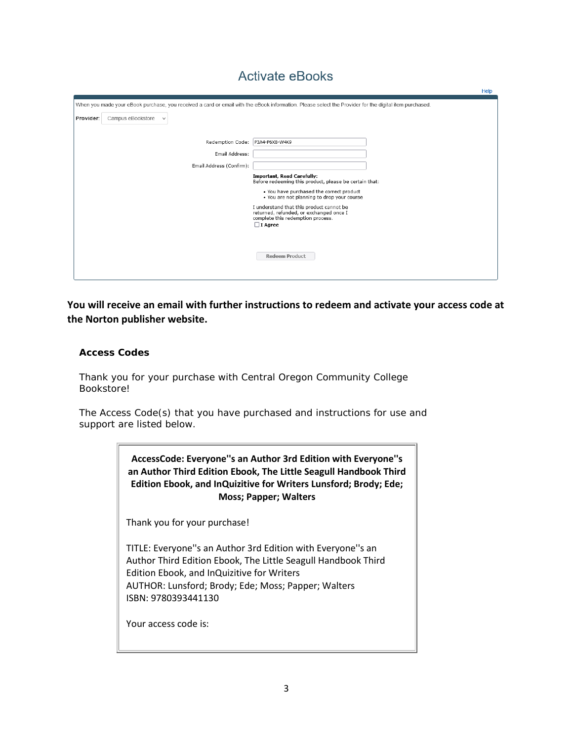## **Activate eBooks**

|           |                                   |                                                                                                                                                        | Help |
|-----------|-----------------------------------|--------------------------------------------------------------------------------------------------------------------------------------------------------|------|
|           |                                   | When you made your eBook purchase, you received a card or email with the eBook information. Please select the Provider for the digital item purchased. |      |
| Provider: | Campus eBookstore<br>$\checkmark$ |                                                                                                                                                        |      |
|           |                                   |                                                                                                                                                        |      |
|           |                                   | Redemption Code: P3A4-P6X8-W4K9                                                                                                                        |      |
|           |                                   | Email Address:                                                                                                                                         |      |
|           | Email Address (Confirm):          |                                                                                                                                                        |      |
|           |                                   | <b>Important, Read Carefully:</b><br>Before redeeming this product, please be certain that:                                                            |      |
|           |                                   | . You have purchased the correct product                                                                                                               |      |
|           |                                   | . You are not planning to drop your course<br>I understand that this product cannot be                                                                 |      |
|           |                                   | returned, refunded, or exchanged once I<br>complete this redemption process.                                                                           |      |
|           |                                   | $\Box$ I Agree                                                                                                                                         |      |
|           |                                   |                                                                                                                                                        |      |
|           |                                   |                                                                                                                                                        |      |
|           |                                   | <b>Redeem Product</b>                                                                                                                                  |      |
|           |                                   |                                                                                                                                                        |      |
|           |                                   |                                                                                                                                                        |      |

**You will receive an email with further instructions to redeem and activate your access code at the Norton publisher website.**

#### **Access Codes**

Thank you for your purchase with Central Oregon Community College **Bookstore!** 

The Access Code(s) that you have purchased and instructions for use and support are listed below.

> **AccessCode: Everyone''s an Author 3rd Edition with Everyone''s an Author Third Edition Ebook, The Little Seagull Handbook Third Edition Ebook, and InQuizitive for Writers Lunsford; Brody; Ede; Moss; Papper; Walters**

Thank you for your purchase!

TITLE: Everyone''s an Author 3rd Edition with Everyone''s an Author Third Edition Ebook, The Little Seagull Handbook Third Edition Ebook, and InQuizitive for Writers AUTHOR: Lunsford; Brody; Ede; Moss; Papper; Walters ISBN: 9780393441130

Your access code is: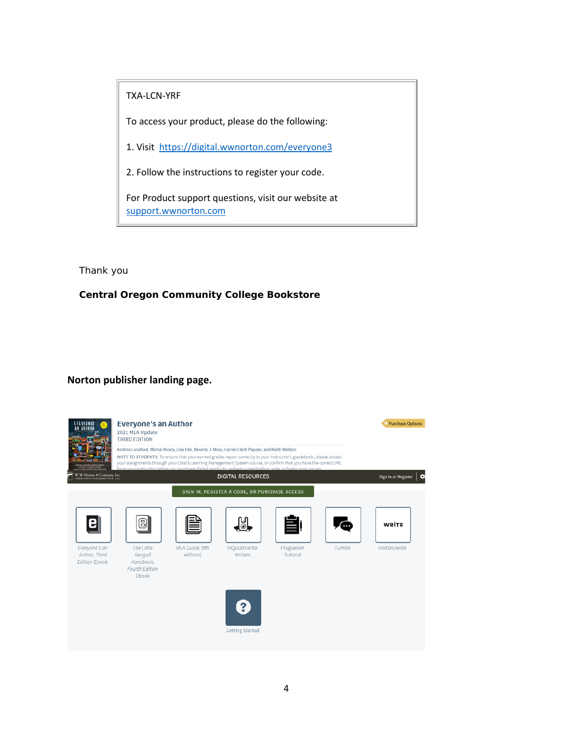TXA-LCN-YRF

To access your product, please do the following:

1. Visit [https://digital.wwnorton.com/everyone3](https://linkprotect.cudasvc.com/url?a=https%3a%2f%2fdigital.wwnorton.com%2feveryone3&c=E,1,1HwiNljgNeUbix0NIUL8hgJaDKd31qeCyPBik3Xt6yM5xbNv5qHdaUdbXwHkNVi0emZIJWdZsV8zC7xmL6Jn_OQRlj17qUNSDDIgnRjNpQQJdI-A0WDX&typo=1&ancr_add=1)

2. Follow the instructions to register your code.

For Product support questions, visit our website at [support.wwnorton.com](https://linkprotect.cudasvc.com/url?a=https%3a%2f%2fsupport.wwnorton.com&c=E,1,117oKFBVruGz639H3tmPYWbXC5ikrHJm1Ip73_s-m325ECjjT_UyS3PukjpkoQgNZuhFaz4q-xKgw22YrZayAzXF4rCCXzxPMZHl24668u4,&typo=1&ancr_add=1)

Thank you

**Central Oregon Community College Bookstore**

#### **Norton publisher landing page.**

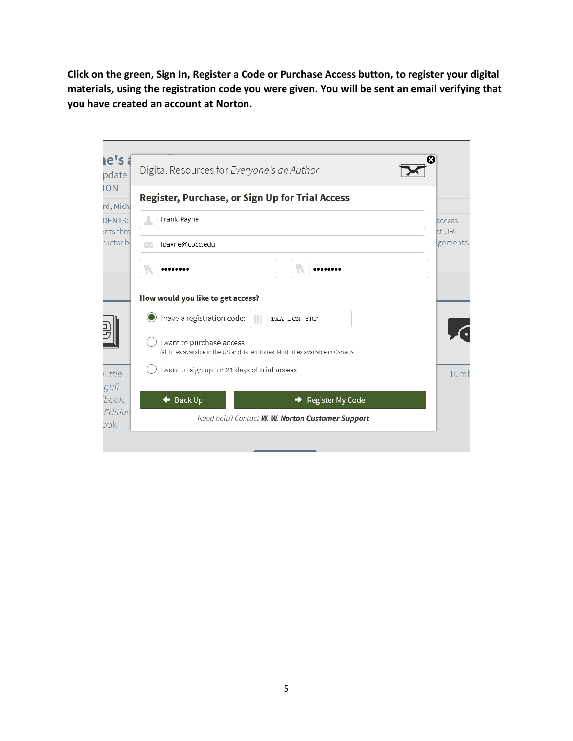**Click on the green, Sign In, Register a Code or Purchase Access button, to register your digital materials, using the registration code you were given. You will be sent an email verifying that you have created an account at Norton.**

| e's a                                                            | Digital Resources for Everyone's an Author                                             | œ                |
|------------------------------------------------------------------|----------------------------------------------------------------------------------------|------------------|
| rd, Michi                                                        | Register, Purchase, or Sign Up for Trial Access                                        |                  |
| Frank Payne<br>ᆂ<br><b>DENTS:</b><br>ents thro                   |                                                                                        | access<br>ct URL |
| ructor bł<br>fpayne@cocc.edu<br>$\mathord{\sim}$                 |                                                                                        | gnments.         |
|                                                                  |                                                                                        |                  |
| How would you like to get access?<br>I have a registration code: | TXA-LCN-YRF                                                                            |                  |
| I want to purchase access                                        | (All titles available in the US and its territories. Most titles available in Canada.) |                  |
|                                                                  | want to sign up for 21 days of trial access                                            |                  |
|                                                                  |                                                                                        |                  |
| <b>Back Up</b><br>↞                                              | Register My Code                                                                       |                  |